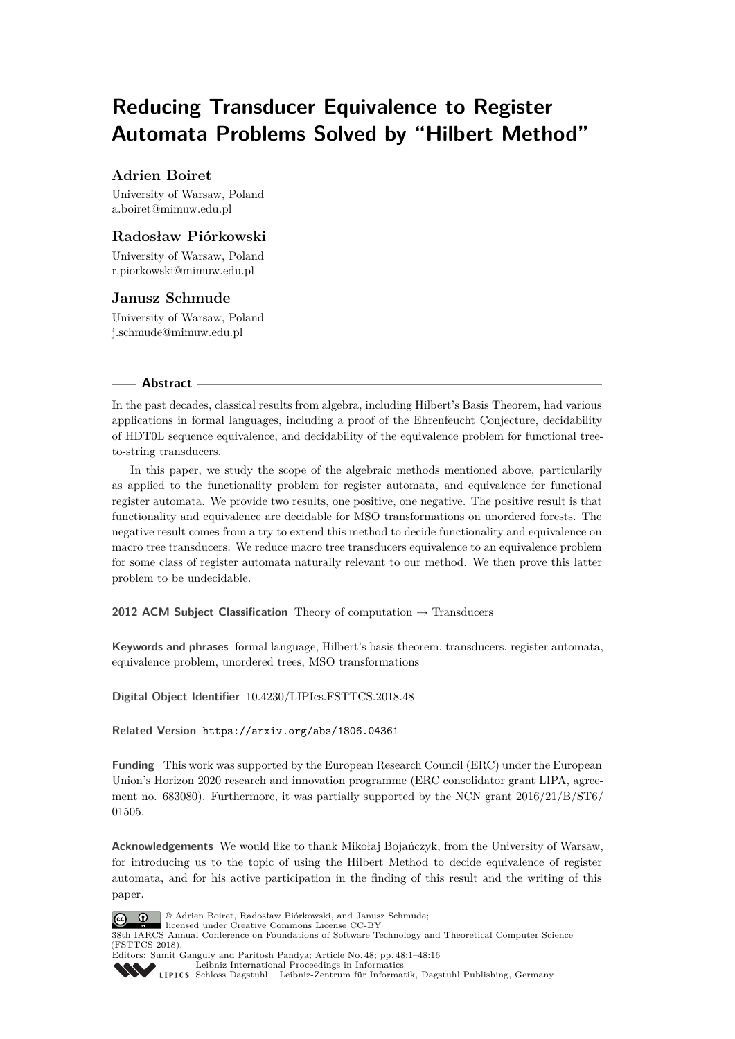# **Reducing Transducer Equivalence to Register Automata Problems Solved by "Hilbert Method"**

# **Adrien Boiret**

University of Warsaw, Poland [a.boiret@mimuw.edu.pl](mailto:a.boiret@mimuw.edu.pl)

# **Radosław Piórkowski**

University of Warsaw, Poland [r.piorkowski@mimuw.edu.pl](mailto:r.piorkowski@mimuw.edu.pl)

## **Janusz Schmude**

University of Warsaw, Poland [j.schmude@mimuw.edu.pl](mailto:j.schmude@mimuw.edu.pl)

## **Abstract**

In the past decades, classical results from algebra, including Hilbert's Basis Theorem, had various applications in formal languages, including a proof of the Ehrenfeucht Conjecture, decidability of HDT0L sequence equivalence, and decidability of the equivalence problem for functional treeto-string transducers.

In this paper, we study the scope of the algebraic methods mentioned above, particularily as applied to the functionality problem for register automata, and equivalence for functional register automata. We provide two results, one positive, one negative. The positive result is that functionality and equivalence are decidable for MSO transformations on unordered forests. The negative result comes from a try to extend this method to decide functionality and equivalence on macro tree transducers. We reduce macro tree transducers equivalence to an equivalence problem for some class of register automata naturally relevant to our method. We then prove this latter problem to be undecidable.

**2012 ACM Subject Classification** Theory of computation → Transducers

**Keywords and phrases** formal language, Hilbert's basis theorem, transducers, register automata, equivalence problem, unordered trees, MSO transformations

**Digital Object Identifier** [10.4230/LIPIcs.FSTTCS.2018.48](https://doi.org/10.4230/LIPIcs.FSTTCS.2018.48)

**Related Version** <https://arxiv.org/abs/1806.04361>

**Funding** This work was supported by the European Research Council (ERC) under the European Union's Horizon 2020 research and innovation programme (ERC consolidator grant LIPA, agreement no. 683080). Furthermore, it was partially supported by the NCN grant 2016/21/B/ST6/ 01505.

**Acknowledgements** We would like to thank Mikołaj Bojańczyk, from the University of Warsaw, for introducing us to the topic of using the Hilbert Method to decide equivalence of register automata, and for his active participation in the finding of this result and the writing of this paper.



© Adrien Boiret, Radosław Piórkowski, and Janusz Schmude;

licensed under Creative Commons License CC-BY 38th IARCS Annual Conference on Foundations of Software Technology and Theoretical Computer Science (FSTTCS 2018).

Editors: Sumit Ganguly and Paritosh Pandya; Article No. 48; pp. 48:1–48[:16](#page-15-0) [Leibniz International Proceedings in Informatics](http://www.dagstuhl.de/lipics/)

[Schloss Dagstuhl – Leibniz-Zentrum für Informatik, Dagstuhl Publishing, Germany](http://www.dagstuhl.de)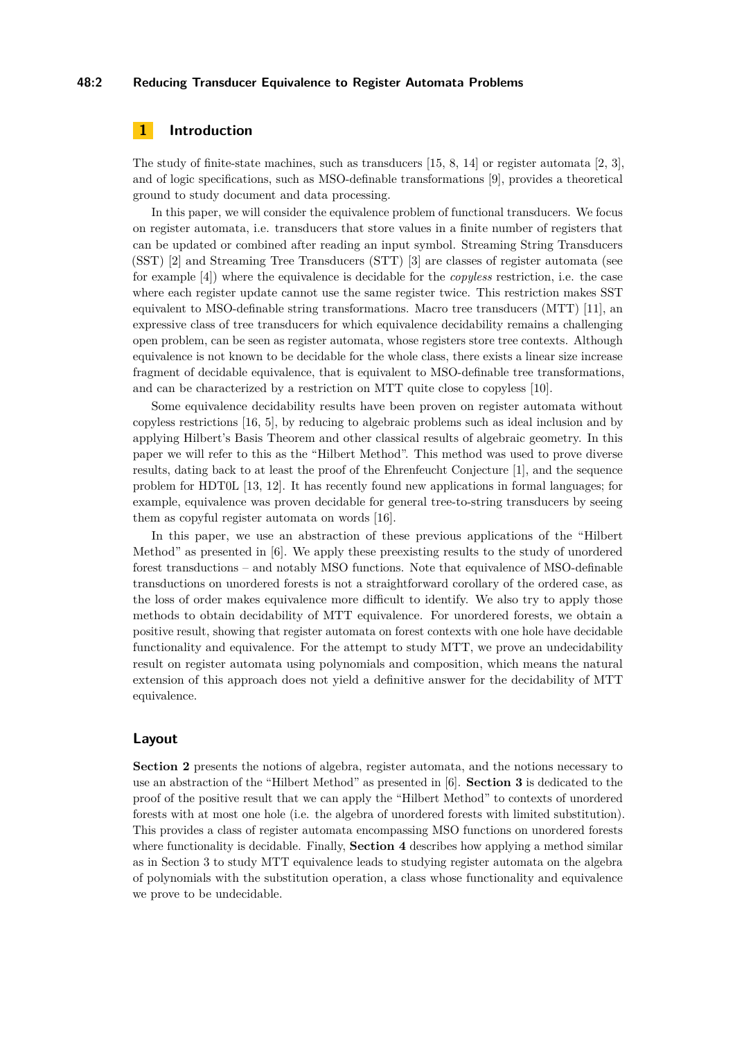## **48:2 Reducing Transducer Equivalence to Register Automata Problems**

# **1 Introduction**

The study of finite-state machines, such as transducers [\[15,](#page-14-0) [8,](#page-14-1) [14\]](#page-14-2) or register automata [\[2,](#page-13-0) [3\]](#page-13-1), and of logic specifications, such as MSO-definable transformations [\[9\]](#page-14-3), provides a theoretical ground to study document and data processing.

In this paper, we will consider the equivalence problem of functional transducers. We focus on register automata, i.e. transducers that store values in a finite number of registers that can be updated or combined after reading an input symbol. Streaming String Transducers (SST) [\[2\]](#page-13-0) and Streaming Tree Transducers (STT) [\[3\]](#page-13-1) are classes of register automata (see for example [\[4\]](#page-13-2)) where the equivalence is decidable for the *copyless* restriction, i.e. the case where each register update cannot use the same register twice. This restriction makes SST equivalent to MSO-definable string transformations. Macro tree transducers (MTT) [\[11\]](#page-14-4), an expressive class of tree transducers for which equivalence decidability remains a challenging open problem, can be seen as register automata, whose registers store tree contexts. Although equivalence is not known to be decidable for the whole class, there exists a linear size increase fragment of decidable equivalence, that is equivalent to MSO-definable tree transformations, and can be characterized by a restriction on MTT quite close to copyless [\[10\]](#page-14-5).

Some equivalence decidability results have been proven on register automata without copyless restrictions [\[16,](#page-14-6) [5\]](#page-14-7), by reducing to algebraic problems such as ideal inclusion and by applying Hilbert's Basis Theorem and other classical results of algebraic geometry. In this paper we will refer to this as the "Hilbert Method". This method was used to prove diverse results, dating back to at least the proof of the Ehrenfeucht Conjecture [\[1\]](#page-13-3), and the sequence problem for HDT0L [\[13,](#page-14-8) [12\]](#page-14-9). It has recently found new applications in formal languages; for example, equivalence was proven decidable for general tree-to-string transducers by seeing them as copyful register automata on words [\[16\]](#page-14-6).

In this paper, we use an abstraction of these previous applications of the "Hilbert Method" as presented in [\[6\]](#page-14-10). We apply these preexisting results to the study of unordered forest transductions – and notably MSO functions. Note that equivalence of MSO-definable transductions on unordered forests is not a straightforward corollary of the ordered case, as the loss of order makes equivalence more difficult to identify. We also try to apply those methods to obtain decidability of MTT equivalence. For unordered forests, we obtain a positive result, showing that register automata on forest contexts with one hole have decidable functionality and equivalence. For the attempt to study MTT, we prove an undecidability result on register automata using polynomials and composition, which means the natural extension of this approach does not yield a definitive answer for the decidability of MTT equivalence.

## **Layout**

**Section [2](#page-2-0)** presents the notions of algebra, register automata, and the notions necessary to use an abstraction of the "Hilbert Method" as presented in [\[6\]](#page-14-10). **Section [3](#page-5-0)** is dedicated to the proof of the positive result that we can apply the "Hilbert Method" to contexts of unordered forests with at most one hole (i.e. the algebra of unordered forests with limited substitution). This provides a class of register automata encompassing MSO functions on unordered forests where functionality is decidable. Finally, **Section [4](#page-11-0)** describes how applying a method similar as in Section [3](#page-5-0) to study MTT equivalence leads to studying register automata on the algebra of polynomials with the substitution operation, a class whose functionality and equivalence we prove to be undecidable.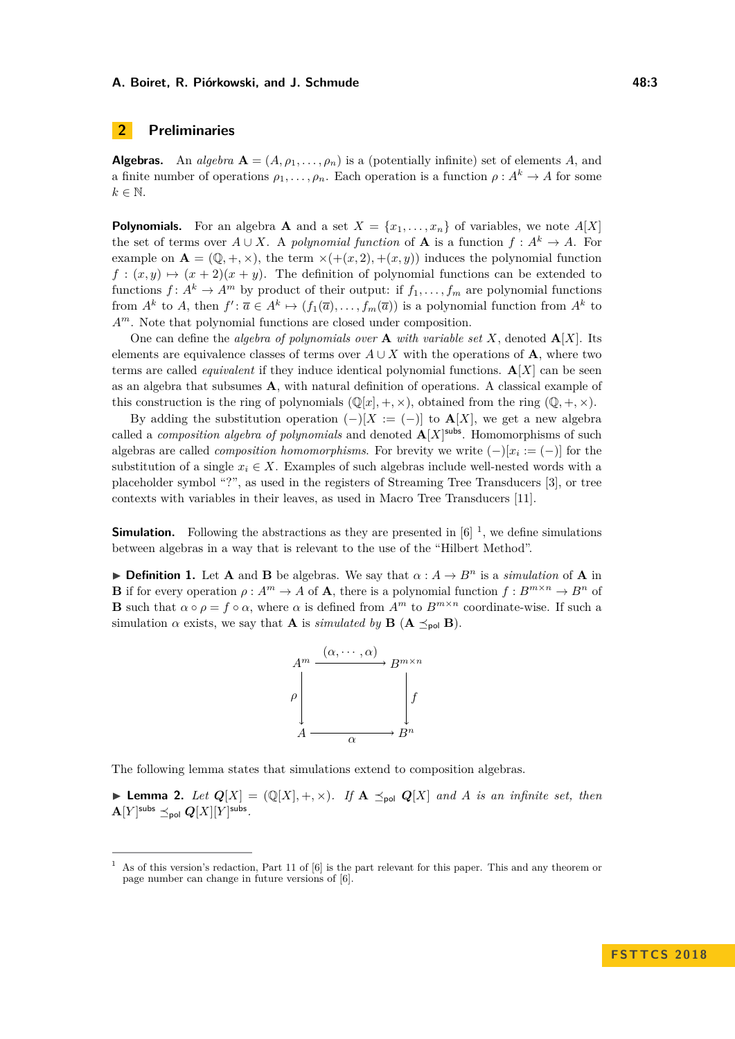# <span id="page-2-0"></span>**2 Preliminaries**

**Algebras.** An *algebra*  $\mathbf{A} = (A, \rho_1, \dots, \rho_n)$  is a (potentially infinite) set of elements *A*, and a finite number of operations  $\rho_1, \ldots, \rho_n$ . Each operation is a function  $\rho : A^k \to A$  for some  $k \in \mathbb{N}$ .

**Polynomials.** For an algebra **A** and a set  $X = \{x_1, \ldots, x_n\}$  of variables, we note  $A[X]$ the set of terms over  $A \cup X$ . A *polynomial function* of **A** is a function  $f : A^k \to A$ . For example on  $\mathbf{A} = (\mathbb{Q}, +, \times)$ , the term  $\times(+ (x, 2), + (x, y))$  induces the polynomial function  $f: (x, y) \mapsto (x + 2)(x + y)$ . The definition of polynomial functions can be extended to functions  $f: A^k \to A^m$  by product of their output: if  $f_1, \ldots, f_m$  are polynomial functions from  $A^k$  to  $A$ , then  $f' : \overline{a} \in A^k \mapsto (f_1(\overline{a}), \ldots, f_m(\overline{a}))$  is a polynomial function from  $A^k$  to *Am*. Note that polynomial functions are closed under composition.

One can define the *algebra of polynomials over* **A** *with variable set*  $X$ , denoted  $\mathbf{A}[X]$ . Its elements are equivalence classes of terms over  $A \cup X$  with the operations of **A**, where two terms are called *equivalent* if they induce identical polynomial functions. **A**[*X*] can be seen as an algebra that subsumes **A**, with natural definition of operations. A classical example of this construction is the ring of polynomials  $(\mathbb{Q}[x], +, \times)$ , obtained from the ring  $(\mathbb{Q}, +, \times)$ .

By adding the substitution operation  $(-)[X := (-)]$  to  $\mathbf{A}[X]$ , we get a new algebra called a *composition algebra of polynomials* and denoted  $\mathbf{A}[X]$ <sup>subs</sup>. Homomorphisms of such algebras are called *composition homomorphisms*. For brevity we write  $(-)[x_i := (-)]$  for the substitution of a single  $x_i \in X$ . Examples of such algebras include well-nested words with a placeholder symbol "?", as used in the registers of Streaming Tree Transducers [\[3\]](#page-13-1), or tree contexts with variables in their leaves, as used in Macro Tree Transducers [\[11\]](#page-14-4).

**Simulation.** Following the abstractions as they are presented in  $[6]$ <sup>[1](#page-2-1)</sup>, we define simulations between algebras in a way that is relevant to the use of the "Hilbert Method".

<span id="page-2-2"></span>**► Definition 1.** Let **A** and **B** be algebras. We say that  $\alpha : A \to B^n$  is a *simulation* of **A** in **B** if for every operation  $\rho: A^m \to A$  of **A**, there is a polynomial function  $f: B^{m \times n} \to B^n$  of **B** such that  $\alpha \circ \rho = f \circ \alpha$ , where  $\alpha$  is defined from  $A^m$  to  $B^{m \times n}$  coordinate-wise. If such a simulation *α* exists, we say that **A** is *simulated by* **B** ( $\mathbf{A} \preceq_{\text{pol}} \mathbf{B}$ ).



The following lemma states that simulations extend to composition algebras.

<span id="page-2-3"></span> $\blacktriangleright$  **Lemma 2.** Let  $Q[X] = (Q[X], +, \times)$ . If  $A \preceq_{\text{pol}} Q[X]$  and A is an infinite set, then  ${\bf A}[Y]^{\sf subs} \preceq_{\sf pol} {\bf Q}[X][Y]^{\sf subs}.$ 

<span id="page-2-1"></span>As of this version's redaction, Part 11 of  $[6]$  is the part relevant for this paper. This and any theorem or page number can change in future versions of [\[6\]](#page-14-10).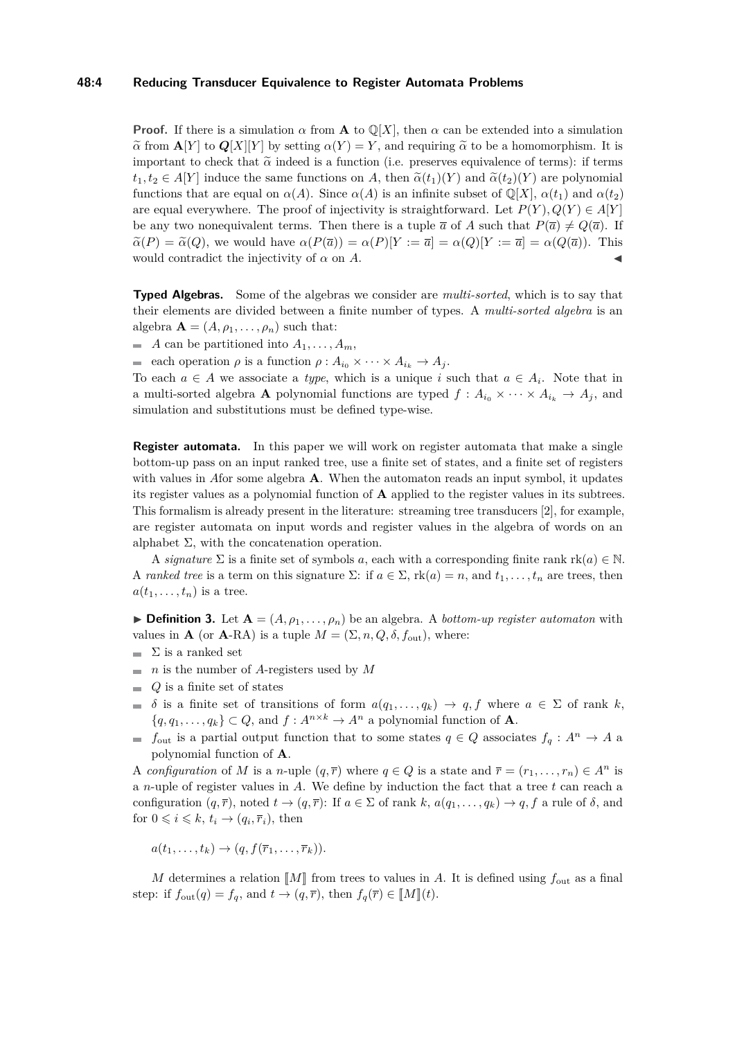## **48:4 Reducing Transducer Equivalence to Register Automata Problems**

**Proof.** If there is a simulation  $\alpha$  from **A** to  $\mathbb{Q}[X]$ , then  $\alpha$  can be extended into a simulation  $\alpha$  from **A**[*Y* ] to  $Q[X][Y]$  by setting  $\alpha(Y) = Y$ , and requiring  $\alpha$  to be a homomorphism. It is important to check that  $\tilde{\alpha}$  indeed is a function (i.e. preserves equivalence of terms): if terms  $t_1, t_2 \in A[Y]$  induce the same functions on *A*, then  $\tilde{\alpha}(t_1)(Y)$  and  $\tilde{\alpha}(t_2)(Y)$  are polynomial functions that are equal on  $\alpha(A)$ . Since  $\alpha(A)$  is an infinite subset of  $\mathbb{Q}[X]$ ,  $\alpha(t_1)$  and  $\alpha(t_2)$ are equal everywhere. The proof of injectivity is straightforward. Let  $P(Y), Q(Y) \in A[Y]$ be any two nonequivalent terms. Then there is a tuple  $\bar{a}$  of A such that  $P(\bar{a}) \neq Q(\bar{a})$ . If  $\tilde{\alpha}(P) = \tilde{\alpha}(Q)$ , we would have  $\alpha(P(\overline{a})) = \alpha(P)[Y := \overline{a}] = \alpha(Q)[Y := \overline{a}] = \alpha(Q(\overline{a})).$  This would contradict the injectivity of  $\alpha$  on  $\dot{A}$ .

**Typed Algebras.** Some of the algebras we consider are *multi-sorted*, which is to say that their elements are divided between a finite number of types. A *multi-sorted algebra* is an algebra  $\mathbf{A} = (A, \rho_1, \dots, \rho_n)$  such that:

 $\blacksquare$  *A* can be partitioned into  $A_1, \ldots, A_m$ ,

each operation  $\rho$  is a function  $\rho: A_{i_0} \times \cdots \times A_{i_k} \to A_j$ .

To each  $a \in A$  we associate a *type*, which is a unique *i* such that  $a \in A_i$ . Note that in a multi-sorted algebra **A** polynomial functions are typed  $f : A_{i_0} \times \cdots \times A_{i_k} \to A_j$ , and simulation and substitutions must be defined type-wise.

**Register automata.** In this paper we will work on register automata that make a single bottom-up pass on an input ranked tree, use a finite set of states, and a finite set of registers with values in *A*for some algebra **A**. When the automaton reads an input symbol, it updates its register values as a polynomial function of **A** applied to the register values in its subtrees. This formalism is already present in the literature: streaming tree transducers [\[2\]](#page-13-0), for example, are register automata on input words and register values in the algebra of words on an alphabet  $\Sigma$ , with the concatenation operation.

A *signature*  $\Sigma$  is a finite set of symbols *a*, each with a corresponding finite rank  $rk(a) \in \mathbb{N}$ . A *ranked tree* is a term on this signature  $\Sigma$ : if  $a \in \Sigma$ ,  $rk(a) = n$ , and  $t_1, \ldots, t_n$  are trees, then  $a(t_1, \ldots, t_n)$  is a tree.

**Definition 3.** Let  $A = (A, \rho_1, \ldots, \rho_n)$  be an algebra. A *bottom-up register automaton* with values in **A** (or **A**-RA) is a tuple  $M = (\Sigma, n, Q, \delta, f_{\text{out}})$ , where:

- $\blacksquare$  Σ is a ranked set
- $\blacksquare$  *n* is the number of *A*-registers used by *M*
- $Q$  is a finite set of states
- $\delta$  is a finite set of transitions of form  $a(q_1, \ldots, q_k) \to q, f$  where  $a \in \Sigma$  of rank *k*,  $\{q, q_1, \ldots, q_k\} \subset Q$ , and  $f: A^{n \times k} \to A^n$  a polynomial function of **A**.
- *f*<sub>out</sub> is a partial output function that to some states  $q \in Q$  associates  $f_q: A^n \to A$  a polynomial function of **A**.

A *configuration* of *M* is a *n*-uple  $(q, \overline{r})$  where  $q \in Q$  is a state and  $\overline{r} = (r_1, \ldots, r_n) \in A^n$  is a *n*-uple of register values in *A*. We define by induction the fact that a tree *t* can reach a configuration  $(q, \overline{r})$ , noted  $t \to (q, \overline{r})$ : If  $a \in \Sigma$  of rank  $k$ ,  $a(q_1, \ldots, q_k) \to q$ , f a rule of  $\delta$ , and for  $0 \leq i \leq k$ ,  $t_i \rightarrow (q_i, \overline{r}_i)$ , then

$$
a(t_1,\ldots,t_k)\to (q,f(\overline{r}_1,\ldots,\overline{r}_k)).
$$

*M* determines a relation  $\llbracket M \rrbracket$  from trees to values in *A*. It is defined using  $f_{\text{out}}$  as a final step: if  $f_{\text{out}}(q) = f_q$ , and  $t \to (q, \overline{r})$ , then  $f_q(\overline{r}) \in [M](t)$ .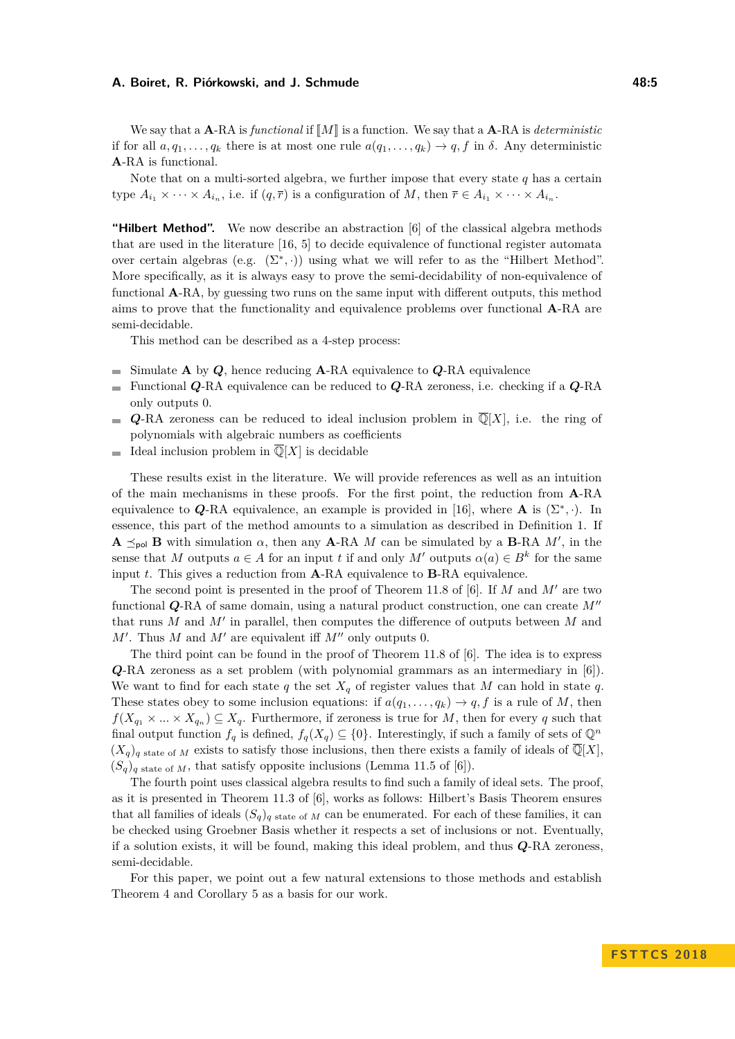We say that a  $\mathbf{A}$ -RA is *functional* if  $\llbracket M \rrbracket$  is a function. We say that a  $\mathbf{A}$ -RA is *deterministic* if for all  $a, q_1, \ldots, q_k$  there is at most one rule  $a(q_1, \ldots, q_k) \rightarrow q$ , f in  $\delta$ . Any deterministic **A**-RA is functional.

Note that on a multi-sorted algebra, we further impose that every state *q* has a certain type  $A_{i_1} \times \cdots \times A_{i_n}$ , i.e. if  $(q, \overline{r})$  is a configuration of M, then  $\overline{r} \in A_{i_1} \times \cdots \times A_{i_n}$ .

**"Hilbert Method".** We now describe an abstraction [\[6\]](#page-14-10) of the classical algebra methods that are used in the literature [\[16,](#page-14-6) [5\]](#page-14-7) to decide equivalence of functional register automata over certain algebras (e.g.  $(\Sigma^*, \cdot)$ ) using what we will refer to as the "Hilbert Method". More specifically, as it is always easy to prove the semi-decidability of non-equivalence of functional **A**-RA, by guessing two runs on the same input with different outputs, this method aims to prove that the functionality and equivalence problems over functional **A**-RA are semi-decidable.

This method can be described as a 4-step process:

- Simulate **A** by *Q*, hence reducing **A**-RA equivalence to *Q*-RA equivalence  $\blacksquare$
- Functional *Q*-RA equivalence can be reduced to *Q*-RA zeroness, i.e. checking if a *Q*-RA only outputs 0.
- *Q*-RA zeroness can be reduced to ideal inclusion problem in  $\overline{\mathbb{Q}}[X]$ , i.e. the ring of  $\rightarrow$ polynomials with algebraic numbers as coefficients
- Ideal inclusion problem in  $\overline{\mathbb{Q}}[X]$  is decidable m.

These results exist in the literature. We will provide references as well as an intuition of the main mechanisms in these proofs. For the first point, the reduction from **A**-RA equivalence to  $Q$ -RA equivalence, an example is provided in [\[16\]](#page-14-6), where **A** is  $(\Sigma^*, \cdot)$ . In essence, this part of the method amounts to a simulation as described in Definition [1.](#page-2-2) If **A**  $\leq_{\text{pol}}$  **B** with simulation *α*, then any **A**-RA *M* can be simulated by a **B**-RA *M'*, in the sense that *M* outputs  $a \in A$  for an input *t* if and only *M'* outputs  $\alpha(a) \in B^k$  for the same input *t*. This gives a reduction from **A**-RA equivalence to **B**-RA equivalence.

The second point is presented in the proof of Theorem 11.8 of [\[6\]](#page-14-10). If  $M$  and  $M'$  are two functional *Q*-RA of same domain, using a natural product construction, one can create  $M''$ that runs  $M$  and  $M'$  in parallel, then computes the difference of outputs between  $M$  and  $M'$ . Thus  $M$  and  $M'$  are equivalent iff  $M''$  only outputs 0.

The third point can be found in the proof of Theorem 11.8 of [\[6\]](#page-14-10). The idea is to express *Q*-RA zeroness as a set problem (with polynomial grammars as an intermediary in [\[6\]](#page-14-10)). We want to find for each state  $q$  the set  $X_q$  of register values that M can hold in state  $q$ . These states obey to some inclusion equations: if  $a(q_1, \ldots, q_k) \to q, f$  is a rule of *M*, then  $f(X_{q_1} \times ... \times X_{q_n}) \subseteq X_q$ . Furthermore, if zeroness is true for *M*, then for every *q* such that final output function  $f_q$  is defined,  $f_q(X_q) \subseteq \{0\}$ . Interestingly, if such a family of sets of  $\mathbb{Q}^n$  $(X_q)$ <sub>*q*</sub> state of *M* exists to satisfy those inclusions, then there exists a family of ideals of  $\overline{\mathbb{Q}}[X]$ .  $(S_q)$ <sub>q</sub> state of *M*, that satisfy opposite inclusions (Lemma 11.5 of [\[6\]](#page-14-10)).

The fourth point uses classical algebra results to find such a family of ideal sets. The proof, as it is presented in Theorem 11.3 of [\[6\]](#page-14-10), works as follows: Hilbert's Basis Theorem ensures that all families of ideals  $(S_q)$ <sub>q</sub> state of *M* can be enumerated. For each of these families, it can be checked using Groebner Basis whether it respects a set of inclusions or not. Eventually, if a solution exists, it will be found, making this ideal problem, and thus *Q*-RA zeroness, semi-decidable.

For this paper, we point out a few natural extensions to those methods and establish Theorem [4](#page-5-1) and Corollary [5](#page-5-2) as a basis for our work.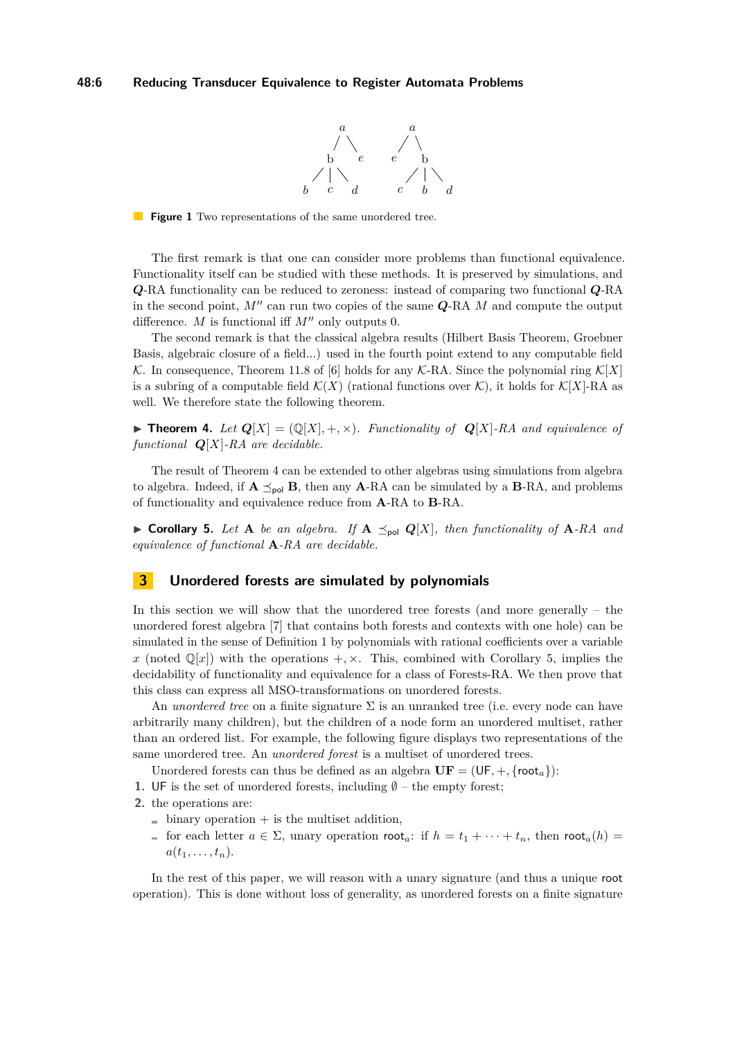

<span id="page-5-3"></span>**Figure 1** Two representations of the same unordered tree.

The first remark is that one can consider more problems than functional equivalence. Functionality itself can be studied with these methods. It is preserved by simulations, and *Q*-RA functionality can be reduced to zeroness: instead of comparing two functional *Q*-RA in the second point,  $M''$  can run two copies of the same  $Q$ -RA  $M$  and compute the output difference. *M* is functional iff  $M''$  only outputs 0.

The second remark is that the classical algebra results (Hilbert Basis Theorem, Groebner Basis, algebraic closure of a field...) used in the fourth point extend to any computable field K. In consequence, Theorem 11.8 of [\[6\]](#page-14-10) holds for any K-RA. Since the polynomial ring  $\mathcal{K}[X]$ is a subring of a computable field  $\mathcal{K}(X)$  (rational functions over  $\mathcal{K}$ ), it holds for  $\mathcal{K}[X]$ -RA as well. We therefore state the following theorem.

<span id="page-5-1"></span> $\blacktriangleright$  **Theorem 4.** Let  $Q[X] = (Q[X], +, \times)$ . Functionality of  $Q[X]$ -RA and equivalence of *functional Q*[*X*]*-RA are decidable.*

The result of Theorem [4](#page-5-1) can be extended to other algebras using simulations from algebra to algebra. Indeed, if  $\mathbf{A} \preceq_{\text{pol}} \mathbf{B}$ , then any  $\mathbf{A}$ -RA can be simulated by a  $\mathbf{B}$ -RA, and problems of functionality and equivalence reduce from **A**-RA to **B**-RA.

<span id="page-5-2"></span> $\triangleright$  **Corollary 5.** Let **A** be an algebra. If  $\mathbf{A} \preceq_{\text{pol}} Q[X]$ , then functionality of  $\mathbf{A}$ -RA and *equivalence of functional* **A***-RA are decidable.*

## <span id="page-5-0"></span>**3 Unordered forests are simulated by polynomials**

In this section we will show that the unordered tree forests (and more generally – the unordered forest algebra [\[7\]](#page-14-11) that contains both forests and contexts with one hole) can be simulated in the sense of Definition [1](#page-2-2) by polynomials with rational coefficients over a variable *x* (noted  $\mathbb{Q}[x]$ ) with the operations  $+$ ,  $\times$ . This, combined with Corollary [5,](#page-5-2) implies the decidability of functionality and equivalence for a class of Forests-RA. We then prove that this class can express all MSO-transformations on unordered forests.

An *unordered tree* on a finite signature Σ is an unranked tree (i.e. every node can have arbitrarily many children), but the children of a node form an unordered multiset, rather than an ordered list. For example, the following figure displays two representations of the same unordered tree. An *unordered forest* is a multiset of unordered trees.

Unordered forests can thus be defined as an algebra  $\mathbf{UF} = (\mathsf{UF}, +, \{\mathsf{root}_a\})$ :

**1.** UF is the set of unordered forests, including  $\emptyset$  – the empty forest;

- **2.** the operations are:
	- $\blacksquare$  binary operation  $+$  is the multiset addition,
	- for each letter  $a \in \Sigma$ , unary operation root<sub>a</sub>: if  $h = t_1 + \cdots + t_n$ , then root<sub>a</sub>(*h*) =  $a(t_1,\ldots,t_n)$ .

In the rest of this paper, we will reason with a unary signature (and thus a unique root operation). This is done without loss of generality, as unordered forests on a finite signature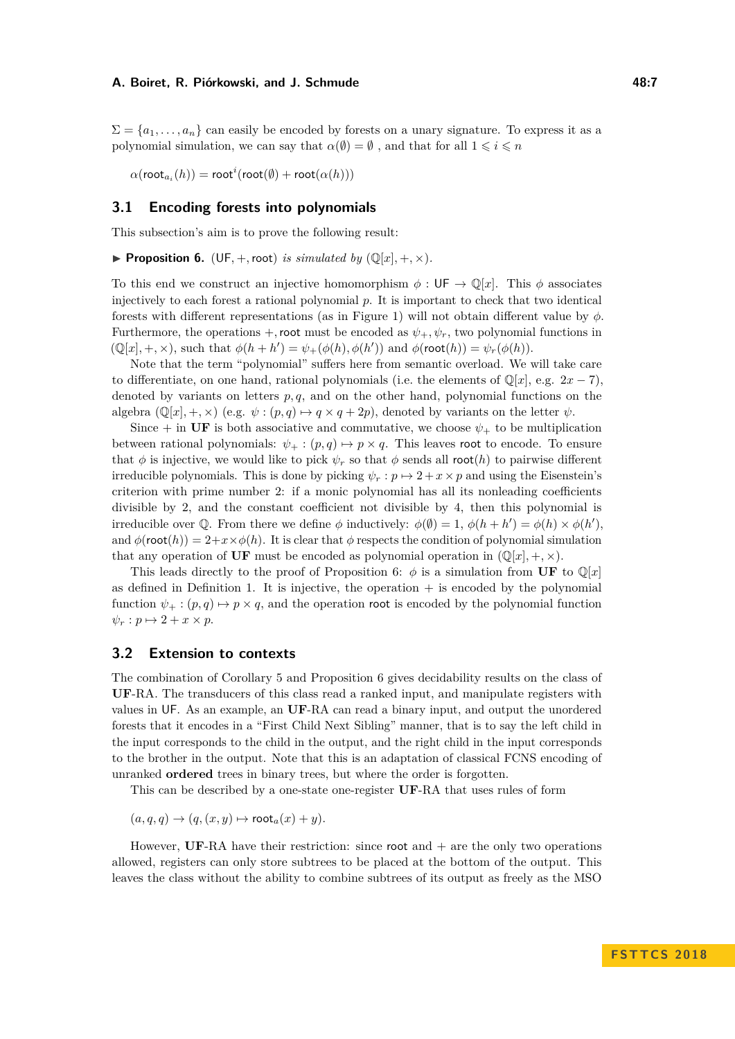$\Sigma = \{a_1, \ldots, a_n\}$  can easily be encoded by forests on a unary signature. To express it as a polynomial simulation, we can say that  $\alpha(\emptyset) = \emptyset$ , and that for all  $1 \leq i \leq n$ 

 $\alpha(\mathsf{root}_{a_i}(h)) = \mathsf{root}^i(\mathsf{root}(\emptyset) + \mathsf{root}(\alpha(h)))$ 

## **3.1 Encoding forests into polynomials**

This subsection's aim is to prove the following result:

<span id="page-6-0"></span>**Proposition 6.** (UF, +, root) *is simulated by* ( $\mathbb{Q}[x]$ , +,  $\times$ )*.* 

To this end we construct an injective homomorphism  $\phi : \mathsf{UF} \to \mathbb{Q}[x]$ . This  $\phi$  associates injectively to each forest a rational polynomial *p*. It is important to check that two identical forests with different representations (as in Figure [1\)](#page-5-3) will not obtain different value by *φ*. Furthermore, the operations +, root must be encoded as  $\psi_+$ ,  $\psi_r$ , two polynomial functions in  $(\mathbb{Q}[x], +, \times)$ , such that  $\phi(h + h') = \psi_+(\phi(h), \phi(h'))$  and  $\phi(\text{root}(h)) = \psi_r(\phi(h))$ .

Note that the term "polynomial" suffers here from semantic overload. We will take care to differentiate, on one hand, rational polynomials (i.e. the elements of  $\mathbb{Q}[x]$ , e.g.  $2x - 7$ ), denoted by variants on letters *p, q*, and on the other hand, polynomial functions on the algebra  $(\mathbb{Q}[x], +, \times)$  (e.g.  $\psi : (p, q) \mapsto q \times q + 2p$ ), denoted by variants on the letter  $\psi$ .

Since  $+$  in **UF** is both associative and commutative, we choose  $\psi_+$  to be multiplication between rational polynomials:  $\psi_+ : (p,q) \mapsto p \times q$ . This leaves root to encode. To ensure that  $\phi$  is injective, we would like to pick  $\psi_r$  so that  $\phi$  sends all root(*h*) to pairwise different irreducible polynomials. This is done by picking  $\psi_r : p \mapsto 2 + x \times p$  and using the Eisenstein's criterion with prime number 2: if a monic polynomial has all its nonleading coefficients divisible by 2, and the constant coefficient not divisible by 4, then this polynomial is irreducible over Q. From there we define  $\phi$  inductively:  $\phi(\emptyset) = 1$ ,  $\phi(h + h') = \phi(h) \times \phi(h')$ , and  $\phi$ (root(*h*)) = 2+*x*× $\phi$ (*h*). It is clear that  $\phi$  respects the condition of polynomial simulation that any operation of UF must be encoded as polynomial operation in  $(\mathbb{Q}[x], +, \times)$ .

This leads directly to the proof of Proposition [6:](#page-6-0)  $\phi$  is a simulation from **UF** to  $\mathbb{Q}[x]$ as defined in Definition [1.](#page-2-2) It is injective, the operation  $+$  is encoded by the polynomial function  $\psi_+ : (p, q) \mapsto p \times q$ , and the operation root is encoded by the polynomial function  $\psi_r : p \mapsto 2 + x \times p$ .

## **3.2 Extension to contexts**

The combination of Corollary [5](#page-5-2) and Proposition [6](#page-6-0) gives decidability results on the class of **UF**-RA. The transducers of this class read a ranked input, and manipulate registers with values in UF. As an example, an **UF**-RA can read a binary input, and output the unordered forests that it encodes in a "First Child Next Sibling" manner, that is to say the left child in the input corresponds to the child in the output, and the right child in the input corresponds to the brother in the output. Note that this is an adaptation of classical FCNS encoding of unranked **ordered** trees in binary trees, but where the order is forgotten.

This can be described by a one-state one-register **UF**-RA that uses rules of form

 $(a, q, q) \rightarrow (q, (x, y) \mapsto \text{root}_a(x) + y).$ 

However, **UF**-RA have their restriction: since root and + are the only two operations allowed, registers can only store subtrees to be placed at the bottom of the output. This leaves the class without the ability to combine subtrees of its output as freely as the MSO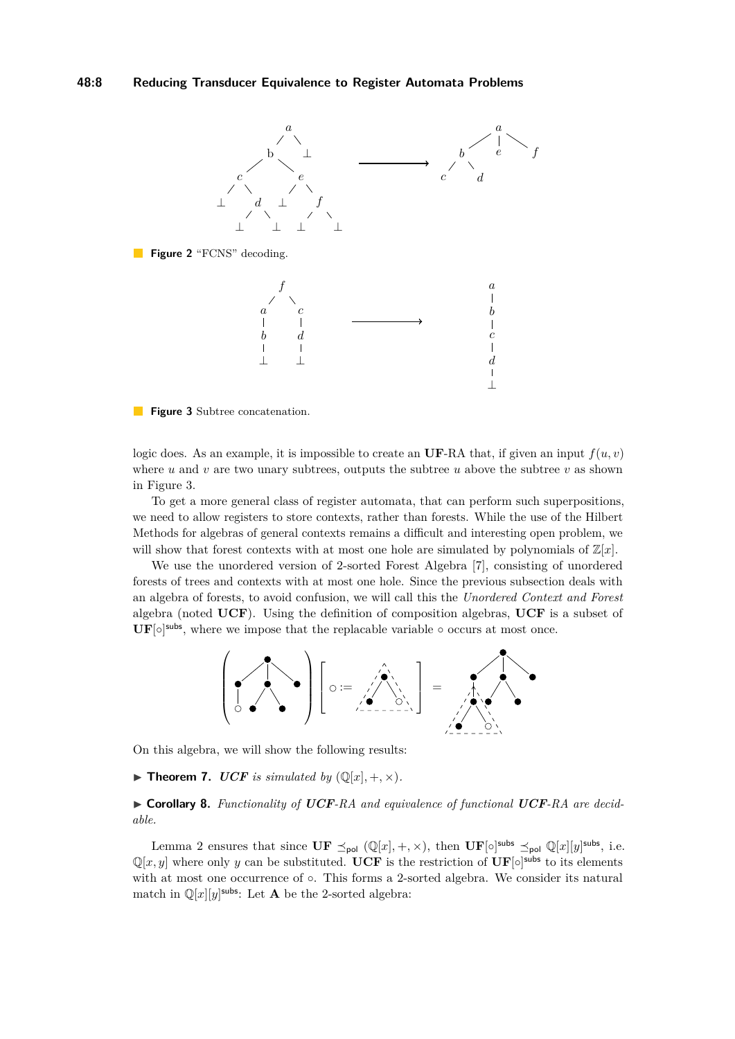<span id="page-7-3"></span>

<span id="page-7-0"></span>

**Figure 3** Subtree concatenation.

logic does. As an example, it is impossible to create an **UF-RA** that, if given an input  $f(u, v)$ where  $u$  and  $v$  are two unary subtrees, outputs the subtree  $u$  above the subtree  $v$  as shown in Figure [3.](#page-7-0)

To get a more general class of register automata, that can perform such superpositions, we need to allow registers to store contexts, rather than forests. While the use of the Hilbert Methods for algebras of general contexts remains a difficult and interesting open problem, we will show that forest contexts with at most one hole are simulated by polynomials of  $\mathbb{Z}[x]$ .

We use the unordered version of 2-sorted Forest Algebra [\[7\]](#page-14-11), consisting of unordered forests of trees and contexts with at most one hole. Since the previous subsection deals with an algebra of forests, to avoid confusion, we will call this the *Unordered Context and Forest* algebra (noted **UCF**). Using the definition of composition algebras, **UCF** is a subset of  $\text{UF}[\circ]$ <sup>subs</sup>, where we impose that the replacable variable  $\circ$  occurs at most once.



On this algebra, we will show the following results:

<span id="page-7-1"></span> $\blacktriangleright$  **Theorem 7.** *UCF is simulated by* ( $\mathbb{Q}[x], +, \times$ )*.* 

<span id="page-7-2"></span>I **Corollary 8.** *Functionality of UCF-RA and equivalence of functional UCF-RA are decidable.*

Lemma [2](#page-2-3) ensures that since  $\mathbf{UF} \preceq_{\text{pol}} (\mathbb{Q}[x], +, \times)$ , then  $\mathbf{UF}[\circ]^\text{subs} \preceq_{\text{pol}} \mathbb{Q}[x][y]^\text{subs}$ , i.e.  $\mathbb{Q}[x, y]$  where only *y* can be substituted. **UCF** is the restriction of  $\text{UF}[\circ]$ <sup>subs</sup> to its elements with at most one occurrence of ○. This forms a 2-sorted algebra. We consider its natural match in  $\mathbb{Q}[x][y]$ <sup>subs</sup>: Let **A** be the 2-sorted algebra: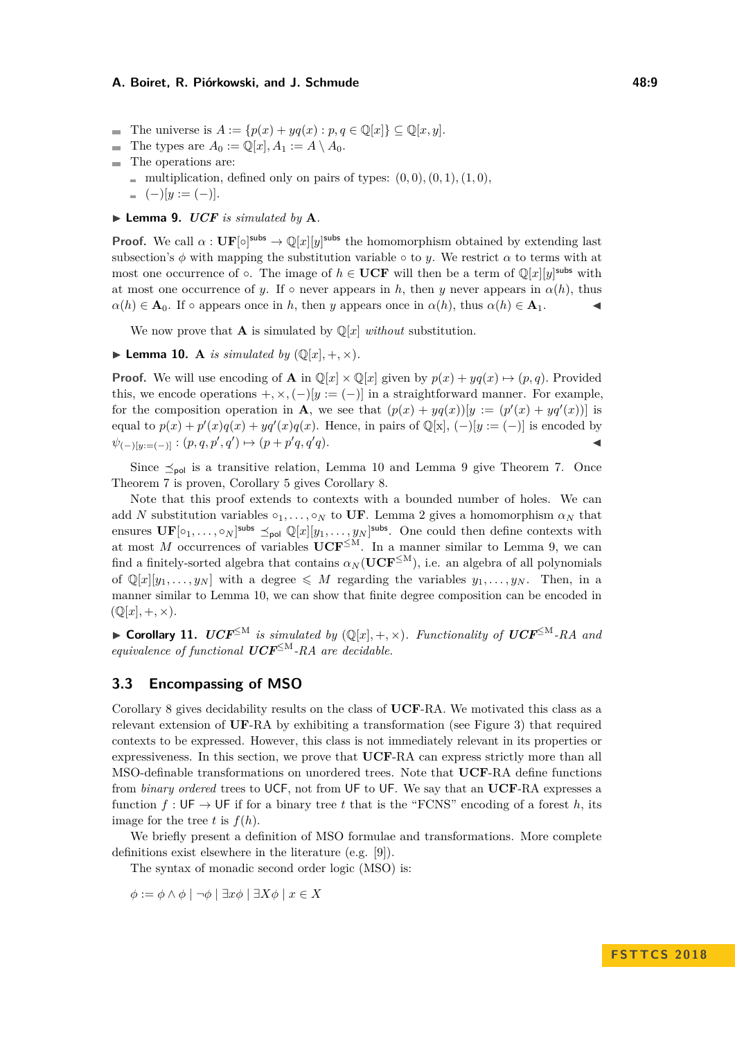- The universe is  $A := \{p(x) + yq(x) : p, q \in \mathbb{Q}[x]\} \subseteq \mathbb{Q}[x, y].$
- The types are  $A_0 := \mathbb{Q}[x], A_1 := A \setminus A_0$ .
- The operations are:
	- multiplication, defined only on pairs of types:  $(0,0), (0,1), (1,0),$
	- $(-)[y := (-)].$
- <span id="page-8-1"></span> $\blacktriangleright$  **Lemma 9.** *UCF is simulated by* **A***.*

**Proof.** We call  $\alpha$  :  $\mathbf{UF}[\circ]$ <sup>subs</sup>  $\rightarrow \mathbb{Q}[x][y]$ <sup>subs</sup> the homomorphism obtained by extending last subsection's  $\phi$  with mapping the substitution variable  $\circ$  to *y*. We restrict  $\alpha$  to terms with at most one occurrence of  $\circ$ . The image of  $h \in \mathbf{UCF}$  will then be a term of  $\mathbb{Q}[x][y]$ <sup>subs</sup> with at most one occurrence of *y*. If  $\circ$  never appears in *h*, then *y* never appears in  $\alpha(h)$ , thus  $\alpha(h) \in \mathbf{A}_0$ . If  $\circ$  appears once in *h*, then *y* appears once in  $\alpha(h)$ , thus  $\alpha(h) \in \mathbf{A}_1$ .

We now prove that **A** is simulated by  $\mathbb{Q}[x]$  *without* substitution.

<span id="page-8-0"></span> $\blacktriangleright$  Lemma 10. A *is simulated by*  $(\mathbb{Q}[x], +, \times)$ *.* 

**Proof.** We will use encoding of **A** in  $\mathbb{Q}[x] \times \mathbb{Q}[x]$  given by  $p(x) + yq(x) \mapsto (p, q)$ . Provided this, we encode operations  $+$ ,  $\times$ ,  $(-)[y := (-)]$  in a straightforward manner. For example, for the composition operation in **A**, we see that  $(p(x) + yq(x))[y := (p'(x) + yq'(x))]$  is equal to  $p(x) + p'(x)q(x) + yq'(x)q(x)$ . Hence, in pairs of  $\mathbb{Q}[x]$ ,  $(-)[y := (-)]$  is encoded by  $\psi_{(-)[y;=(-)]}: (p,q,p',q') \mapsto (p+p'q,q')$  $q$ *)*.

Since  $\leq_{\text{pol}}$  is a transitive relation, Lemma [10](#page-8-0) and Lemma [9](#page-8-1) give Theorem [7.](#page-7-1) Once Theorem [7](#page-7-1) is proven, Corollary [5](#page-5-2) gives Corollary [8.](#page-7-2)

Note that this proof extends to contexts with a bounded number of holes. We can add *N* substitution variables  $\circ_1, \ldots, \circ_N$  to UF. Lemma [2](#page-2-3) gives a homomorphism  $\alpha_N$  that ensures  $\mathbf{UF}[o_1,\ldots,o_N]$ <sup>subs</sup>  $\preceq_{\mathsf{pol}} \mathbb{Q}[x][y_1,\ldots,y_N]$ <sup>subs</sup>. One could then define contexts with at most *M* occurrences of variables  $\mathbf{UCF}^{\leq M}$ . In a manner similar to Lemma [9,](#page-8-1) we can find a finitely-sorted algebra that contains  $\alpha_N(\mathbf{UCF}^{\leq M})$ , i.e. an algebra of all polynomials of  $\mathbb{Q}[x][y_1, \ldots, y_N]$  with a degree  $\leqslant M$  regarding the variables  $y_1, \ldots, y_N$ . Then, in a manner similar to Lemma [10,](#page-8-0) we can show that finite degree composition can be encoded in  $(\mathbb{Q}[x], +, \times).$ 

▶ **Corollary 11.**  $\text{UCF}^{\leq M}$  is simulated by  $(\mathbb{Q}[x], +, \times)$ *. Functionality of*  $\text{UCF}^{\leq M}$ -RA and *equivalence of functional UCF*<sup>≤</sup><sup>M</sup>*-RA are decidable.*

## **3.3 Encompassing of MSO**

Corollary [8](#page-7-2) gives decidability results on the class of **UCF**-RA. We motivated this class as a relevant extension of **UF**-RA by exhibiting a transformation (see Figure [3\)](#page-7-0) that required contexts to be expressed. However, this class is not immediately relevant in its properties or expressiveness. In this section, we prove that **UCF**-RA can express strictly more than all MSO-definable transformations on unordered trees. Note that **UCF**-RA define functions from *binary ordered* trees to UCF, not from UF to UF. We say that an **UCF**-RA expresses a function  $f: \mathsf{UF} \to \mathsf{UF}$  if for a binary tree *t* that is the "FCNS" encoding of a forest *h*, its image for the tree *t* is  $f(h)$ .

We briefly present a definition of MSO formulae and transformations. More complete definitions exist elsewhere in the literature (e.g. [\[9\]](#page-14-3)).

The syntax of monadic second order logic (MSO) is:

*φ* := *φ* ∧ *φ* | ¬*φ* | ∃*xφ* | ∃*Xφ* | *x* ∈ *X*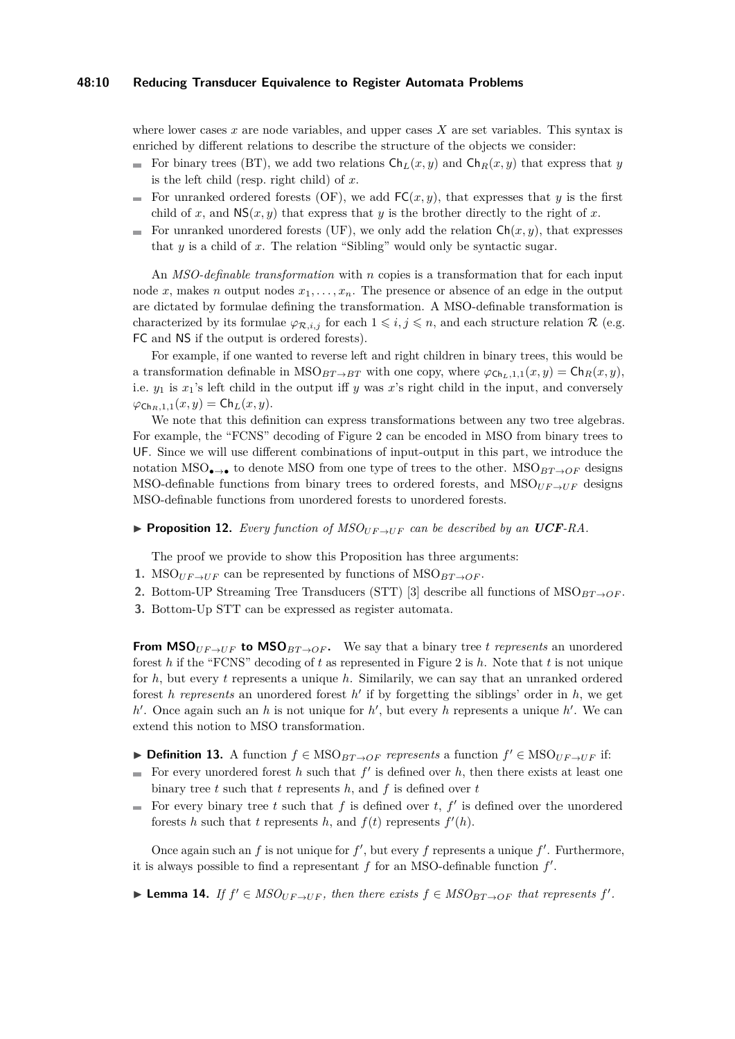## **48:10 Reducing Transducer Equivalence to Register Automata Problems**

where lower cases *x* are node variables, and upper cases *X* are set variables. This syntax is enriched by different relations to describe the structure of the objects we consider:

- For binary trees (BT), we add two relations  $\mathsf{Ch}_L(x, y)$  and  $\mathsf{Ch}_R(x, y)$  that express that *y* is the left child (resp. right child) of *x*.
- For unranked ordered forests (OF), we add  $FC(x, y)$ , that expresses that *y* is the first child of *x*, and  $NS(x, y)$  that express that *y* is the brother directly to the right of *x*.
- For unranked unordered forests (UF), we only add the relation  $\mathsf{Ch}(x, y)$ , that expresses that *y* is a child of *x*. The relation "Sibling" would only be syntactic sugar.

An *MSO-definable transformation* with *n* copies is a transformation that for each input node *x*, makes *n* output nodes  $x_1, \ldots, x_n$ . The presence or absence of an edge in the output are dictated by formulae defining the transformation. A MSO-definable transformation is characterized by its formulae  $\varphi_{\mathcal{R},i,j}$  for each  $1 \leq i,j \leq n$ , and each structure relation  $\mathcal{R}$  (e.g. FC and NS if the output is ordered forests).

For example, if one wanted to reverse left and right children in binary trees, this would be a transformation definable in  $MSO_{BT\to BT}$  with one copy, where  $\varphi_{\text{Ch}_L,1,1}(x,y) = \text{Ch}_R(x,y)$ , i.e.  $y_1$  is  $x_1$ 's left child in the output iff *y* was *x*'s right child in the input, and conversely  $\varphi_{\text{Ch}_B,1,1}(x,y) = \text{Ch}_L(x,y).$ 

We note that this definition can express transformations between any two tree algebras. For example, the "FCNS" decoding of Figure [2](#page-7-3) can be encoded in MSO from binary trees to UF. Since we will use different combinations of input-output in this part, we introduce the notation MSO<sub>•→</sub>• to denote MSO from one type of trees to the other. MSO<sub>*BT*→*OF*</sub> designs MSO-definable functions from binary trees to ordered forests, and  $MSO<sub>UF\rightarrow UF</sub>$  designs MSO-definable functions from unordered forests to unordered forests.

<span id="page-9-1"></span>**Proposition 12.** Every function of  $MSO<sub>UF\rightarrow UF</sub>$  can be described by an UCF-RA.

The proof we provide to show this Proposition has three arguments:

- **1.** MSO<sub>UF→UF</sub> can be represented by functions of MSO<sub>BT→OF</sub>.
- **2.** Bottom-UP Streaming Tree Transducers (STT) [\[3\]](#page-13-1) describe all functions of  $MSO_{BT\rightarrow OF}$ .
- **3.** Bottom-Up STT can be expressed as register automata.

**From MSO**<sub>*UF*→*UF* **to MSO**<sub>*BT*→*OF*</sub>. We say that a binary tree *t represents* an unordered</sub> forest *h* if the "FCNS" decoding of *t* as represented in Figure [2](#page-7-3) is *h*. Note that *t* is not unique for *h*, but every *t* represents a unique *h*. Similarily, we can say that an unranked ordered forest *h* represents an unordered forest  $h'$  if by forgetting the siblings' order in  $h$ , we get  $h'$ . Once again such an *h* is not unique for  $h'$ , but every *h* represents a unique  $h'$ . We can extend this notion to MSO transformation.

- **► Definition 13.** A function  $f \in \text{MSO}_{BT\rightarrow OF}$  *represents* a function  $f' \in \text{MSO}_{UF\rightarrow UF}$  if:
- For every unordered forest  $h$  such that  $f'$  is defined over  $h$ , then there exists at least one  $\blacksquare$ binary tree *t* such that *t* represents *h*, and *f* is defined over *t*
- For every binary tree  $t$  such that  $f$  is defined over  $t$ ,  $f'$  is defined over the unordered forests *h* such that *t* represents *h*, and  $f(t)$  represents  $f'(h)$ .

Once again such an  $f$  is not unique for  $f'$ , but every  $f$  represents a unique  $f'$ . Furthermore, it is always possible to find a representant  $f$  for an MSO-definable function  $f'$ .

<span id="page-9-0"></span>► Lemma 14. *If*  $f' \in MSO_{UF\to UF}$ , then there exists  $f \in MSO_{BT\to OF}$  that represents  $f'$ .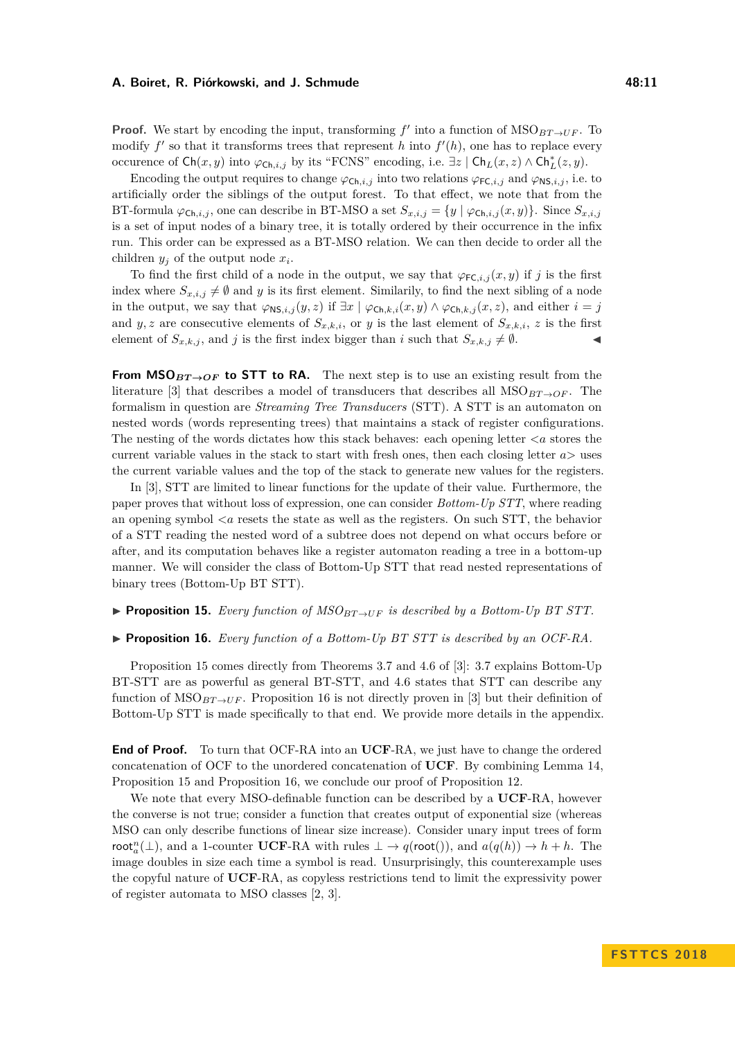**Proof.** We start by encoding the input, transforming  $f'$  into a function of  $MSO_{BT\to UF}$ . To modify  $f'$  so that it transforms trees that represent *h* into  $f'(h)$ , one has to replace every occurence of  $\mathsf{Ch}(x, y)$  into  $\varphi_{\mathsf{Ch}, i, j}$  by its "FCNS" encoding, i.e.  $\exists z \mid \mathsf{Ch}_L(x, z) \land \mathsf{Ch}_L^*(z, y)$ .

Encoding the output requires to change  $\varphi_{\mathsf{Ch},i,j}$  into two relations  $\varphi_{\mathsf{FC},i,j}$  and  $\varphi_{\mathsf{NS},i,j}$ , i.e. to artificially order the siblings of the output forest. To that effect, we note that from the BT-formula  $\varphi_{\mathsf{Ch},i,j}$ , one can describe in BT-MSO a set  $S_{x,i,j} = \{y \mid \varphi_{\mathsf{Ch},i,j}(x,y)\}$ . Since  $S_{x,i,j}$ is a set of input nodes of a binary tree, it is totally ordered by their occurrence in the infix run. This order can be expressed as a BT-MSO relation. We can then decide to order all the children  $y_j$  of the output node  $x_i$ .

To find the first child of a node in the output, we say that  $\varphi_{\mathsf{FC},i,j}(x,y)$  if *j* is the first index where  $S_{x,i,j} \neq \emptyset$  and *y* is its first element. Similarly, to find the next sibling of a node in the output, we say that  $\varphi_{\text{NS},i,j}(y, z)$  if  $\exists x \mid \varphi_{\text{Ch},k,i}(x, y) \land \varphi_{\text{Ch},k,j}(x, z)$ , and either  $i = j$ and *y*, *z* are consecutive elements of  $S_{x,k,i}$ , or *y* is the last element of  $S_{x,k,i}$ , *z* is the first element of  $S_{x,k,j}$ , and *j* is the first index bigger than *i* such that  $S_{x,k,j} \neq \emptyset$ .

**From MSO** $_{BT\rightarrow OF}$  to STT to RA. The next step is to use an existing result from the literature [\[3\]](#page-13-1) that describes a model of transducers that describes all  $MSO_{BT\rightarrow OF}$ . The formalism in question are *Streaming Tree Transducers* (STT). A STT is an automaton on nested words (words representing trees) that maintains a stack of register configurations. The nesting of the words dictates how this stack behaves: each opening letter  $\langle a \rangle$  stores the current variable values in the stack to start with fresh ones, then each closing letter *a>* uses the current variable values and the top of the stack to generate new values for the registers.

In [\[3\]](#page-13-1), STT are limited to linear functions for the update of their value. Furthermore, the paper proves that without loss of expression, one can consider *Bottom-Up STT*, where reading an opening symbol  $\langle a \rangle$  resets the state as well as the registers. On such STT, the behavior of a STT reading the nested word of a subtree does not depend on what occurs before or after, and its computation behaves like a register automaton reading a tree in a bottom-up manner. We will consider the class of Bottom-Up STT that read nested representations of binary trees (Bottom-Up BT STT).

#### <span id="page-10-0"></span>**Proposition 15.** *Every function of*  $MSO_{BT\to UF}$  *is described by a Bottom-Up BT STT.*

#### <span id="page-10-1"></span>▶ **Proposition 16.** *Every function of a Bottom-Up BT STT is described by an OCF-RA.*

Proposition [15](#page-10-0) comes directly from Theorems 3.7 and 4.6 of [\[3\]](#page-13-1): 3.7 explains Bottom-Up BT-STT are as powerful as general BT-STT, and 4.6 states that STT can describe any function of  $MSO_{BT\to UF}$ . Proposition [16](#page-10-1) is not directly proven in [\[3\]](#page-13-1) but their definition of Bottom-Up STT is made specifically to that end. We provide more details in the appendix.

**End of Proof.** To turn that OCF-RA into an **UCF**-RA, we just have to change the ordered concatenation of OCF to the unordered concatenation of **UCF**. By combining Lemma [14,](#page-9-0) Proposition [15](#page-10-0) and Proposition [16,](#page-10-1) we conclude our proof of Proposition [12.](#page-9-1)

We note that every MSO-definable function can be described by a **UCF**-RA, however the converse is not true; consider a function that creates output of exponential size (whereas MSO can only describe functions of linear size increase). Consider unary input trees of form root<sup>n</sup><sub>a</sub>( $\perp$ ), and a 1-counter **UCF**-RA with rules  $\perp \to q$ (root()), and  $a(q(h)) \to h + h$ . The image doubles in size each time a symbol is read. Unsurprisingly, this counterexample uses the copyful nature of **UCF**-RA, as copyless restrictions tend to limit the expressivity power of register automata to MSO classes [\[2,](#page-13-0) [3\]](#page-13-1).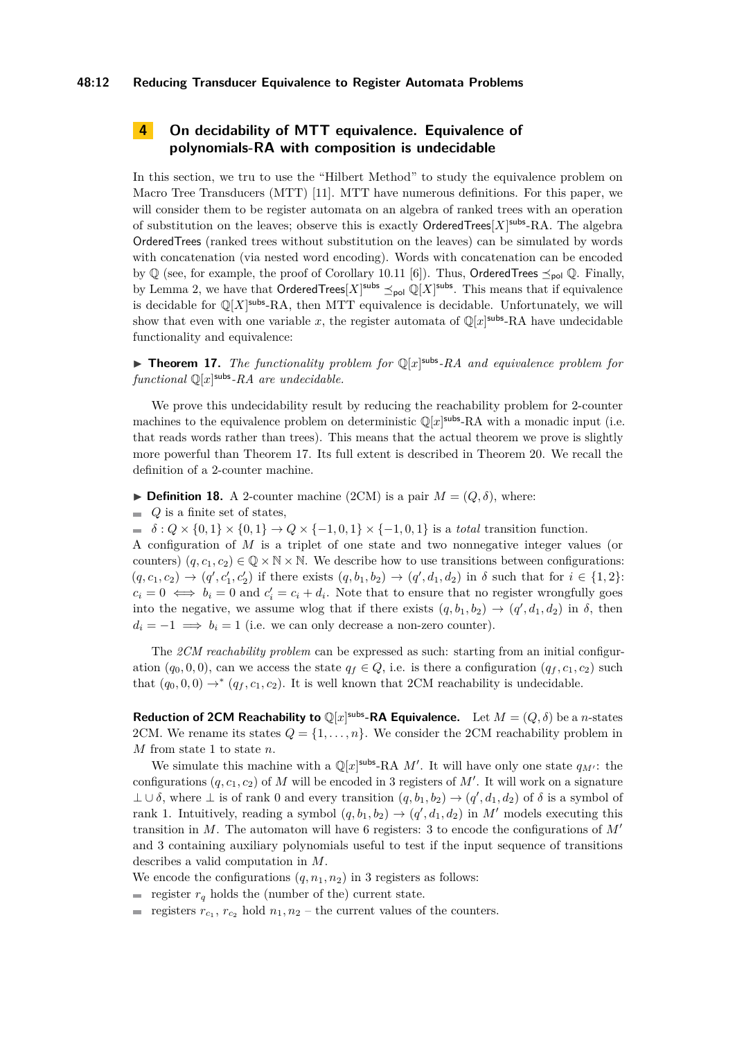## **48:12 Reducing Transducer Equivalence to Register Automata Problems**

# <span id="page-11-0"></span>**4 On decidability of MTT equivalence. Equivalence of polynomials-RA with composition is undecidable**

In this section, we tru to use the "Hilbert Method" to study the equivalence problem on Macro Tree Transducers (MTT) [\[11\]](#page-14-4). MTT have numerous definitions. For this paper, we will consider them to be register automata on an algebra of ranked trees with an operation of substitution on the leaves; observe this is exactly OrderedTrees<sup>[X]<sup>subs</sup>-RA. The algebra</sup> OrderedTrees (ranked trees without substitution on the leaves) can be simulated by words with concatenation (via nested word encoding). Words with concatenation can be encoded by  $\mathbb Q$  (see, for example, the proof of Corollary 10.11 [\[6\]](#page-14-10)). Thus, OrderedTrees  $\preceq_{\text{pol}} \mathbb Q$ . Finally, by Lemma [2,](#page-2-3) we have that  $\mathsf{OrderedTree}[X]^\mathsf{subs} \preceq_{\mathsf{pol}} \mathbb{Q}[X]^\mathsf{subs}$ . This means that if equivalence is decidable for  $\mathbb{Q}[X]$ <sup>subs</sup>-RA, then MTT equivalence is decidable. Unfortunately, we will show that even with one variable x, the register automata of  $\mathbb{Q}[x]$ <sup>subs</sup>-RA have undecidable functionality and equivalence:

<span id="page-11-1"></span>**Theorem 17.** The functionality problem for  $\mathbb{Q}[x]$ <sup>subs</sup>-RA and equivalence problem for *functional* Q[*x*] subs*-RA are undecidable.*

We prove this undecidability result by reducing the reachability problem for 2-counter machines to the equivalence problem on deterministic  $\mathbb{Q}[x]$ <sup>subs</sup>-RA with a monadic input (i.e. that reads words rather than trees). This means that the actual theorem we prove is slightly more powerful than Theorem [17.](#page-11-1) Its full extent is described in Theorem [20.](#page-13-4) We recall the definition of a 2-counter machine.

 $\triangleright$  **Definition 18.** A 2-counter machine (2CM) is a pair  $M = (Q, \delta)$ , where:

 $Q$  is a finite set of states,

 $\delta$  :  $Q \times \{0,1\} \times \{0,1\} \to Q \times \{-1,0,1\} \times \{-1,0,1\}$  is a *total* transition function.

A configuration of *M* is a triplet of one state and two nonnegative integer values (or counters)  $(q, c_1, c_2) \in \mathbb{Q} \times \mathbb{N} \times \mathbb{N}$ . We describe how to use transitions between configurations:  $(q, c_1, c_2) \rightarrow (q', c'_1, c'_2)$  if there exists  $(q, b_1, b_2) \rightarrow (q', d_1, d_2)$  in  $\delta$  such that for  $i \in \{1, 2\}$ :  $c_i = 0 \iff b_i = 0$  and  $c'_i = c_i + d_i$ . Note that to ensure that no register wrongfully goes into the negative, we assume wlog that if there exists  $(q, b_1, b_2) \rightarrow (q', d_1, d_2)$  in  $\delta$ , then  $d_i = -1 \implies b_i = 1$  (i.e. we can only decrease a non-zero counter).

The *2CM reachability problem* can be expressed as such: starting from an initial configuration  $(q_0, 0, 0)$ , can we access the state  $q_f \in Q$ , i.e. is there a configuration  $(q_f, c_1, c_2)$  such that  $(q_0, 0, 0) \rightarrow^* (q_f, c_1, c_2)$ . It is well known that 2CM reachability is undecidable.

**Reduction of 2CM Reachability to**  $\mathbb{Q}[x]^{subs}$ -RA Equivalence. Let  $M = (Q, \delta)$  be a *n*-states 2CM. We rename its states  $Q = \{1, \ldots, n\}$ . We consider the 2CM reachability problem in *M* from state 1 to state *n*.

We simulate this machine with a  $\mathbb{Q}[x]$ <sup>subs</sup>-RA *M'*. It will have only one state  $q_{M'}$ : the configurations  $(q, c_1, c_2)$  of M will be encoded in 3 registers of M'. It will work on a signature  $\bot$  ∪ δ, where  $\bot$  is of rank 0 and every transition  $(q, b_1, b_2)$  →  $(q', d_1, d_2)$  of δ is a symbol of rank 1. Intuitively, reading a symbol  $(q, b_1, b_2) \rightarrow (q', d_1, d_2)$  in M' models executing this transition in  $M$ . The automaton will have 6 registers: 3 to encode the configurations of  $M'$ and 3 containing auxiliary polynomials useful to test if the input sequence of transitions describes a valid computation in *M*.

We encode the configurations  $(q, n_1, n_2)$  in 3 registers as follows:

- register  $r_q$  holds the (number of the) current state.
- registers  $r_{c_1}$ ,  $r_{c_2}$  hold  $n_1$ ,  $n_2$  the current values of the counters.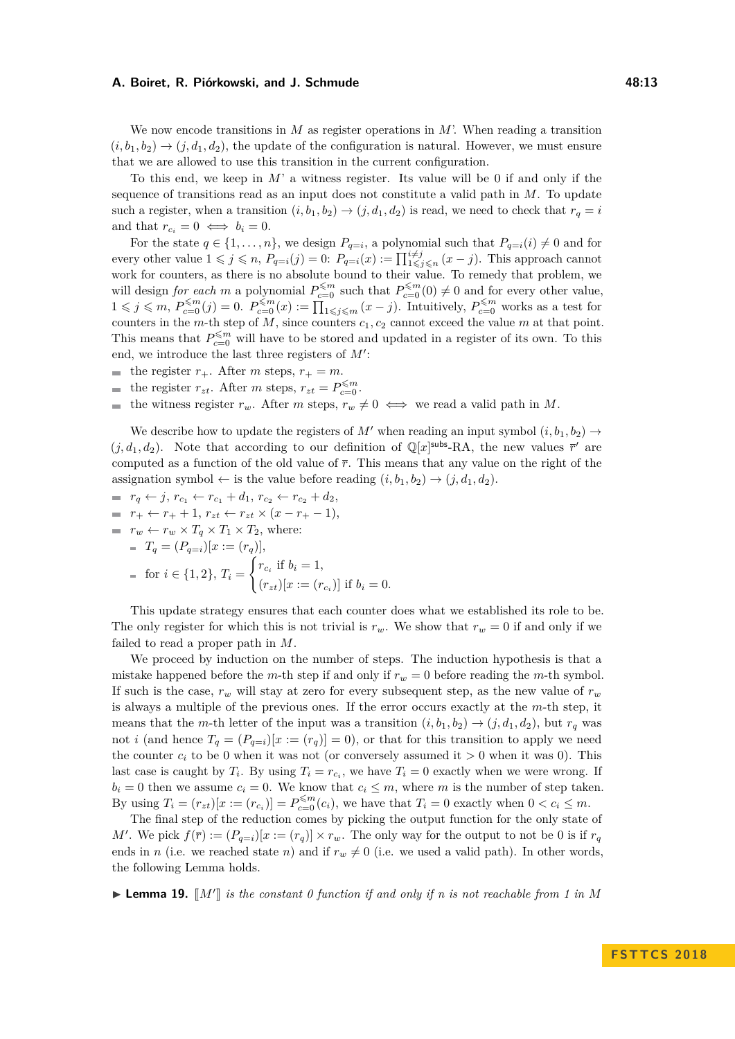We now encode transitions in *M* as register operations in *M*'. When reading a transition  $(i, b_1, b_2) \rightarrow (j, d_1, d_2)$ , the update of the configuration is natural. However, we must ensure that we are allowed to use this transition in the current configuration.

To this end, we keep in *M*' a witness register. Its value will be 0 if and only if the sequence of transitions read as an input does not constitute a valid path in *M*. To update such a register, when a transition  $(i, b_1, b_2) \rightarrow (j, d_1, d_2)$  is read, we need to check that  $r_q = i$ and that  $r_{c_i} = 0 \iff b_i = 0$ .

For the state  $q \in \{1, \ldots, n\}$ , we design  $P_{q=i}$ , a polynomial such that  $P_{q=i}(i) \neq 0$  and for every other value  $1 \leqslant j \leqslant n$ ,  $P_{q=i}(j) = 0$ :  $P_{q=i}(x) := \prod_{1 \leqslant j \leqslant n}^{i \neq j} (x - j)$ . This approach cannot work for counters, as there is no absolute bound to their value. To remedy that problem, we will design *for each m* a polynomial  $P_{c=0}^{\leq m}$  such that  $P_{c=0}^{\leq m}(0) \neq 0$  and for every other value,  $1 \leq j \leq m, P_{c=0}^{\leq m}(j) = 0.$   $P_{c=0}^{\leq m}(x) := \prod_{1 \leq j \leq m}^{\infty} (x - j).$  Intuitively,  $P_{c=0}^{\leq m}$  works as a test for counters in the *m*-th step of *M*, since counters *c*1*, c*<sup>2</sup> cannot exceed the value *m* at that point. This means that  $P_{c=0}^{\leq m}$  will have to be stored and updated in a register of its own. To this end, we introduce the last three registers of  $M'$ :

the register  $r_+$ . After *m* steps,  $r_+ = m$ .

- the register  $r_{zt}$ . After *m* steps,  $r_{zt} = P_{c=0}^{\leq m}$ .
- the witness register  $r_w$ . After *m* steps,  $r_w \neq 0 \iff$  we read a valid path in *M*.  $\mathcal{L}_{\mathcal{A}}$

We describe how to update the registers of M' when reading an input symbol  $(i, b_1, b_2) \rightarrow$  $(j, d_1, d_2)$ . Note that according to our definition of  $\mathbb{Q}[x]$ <sup>subs</sup>-RA, the new values  $\bar{r}'$  are computed as a function of the old value of  $\bar{r}$ . This means that any value on the right of the assignation symbol  $\leftarrow$  is the value before reading  $(i, b_1, b_2) \rightarrow (j, d_1, d_2)$ .

- $r_q \leftarrow j$ ,  $r_{c_1} \leftarrow r_{c_1} + d_1$ ,  $r_{c_2} \leftarrow r_{c_2} + d_2$ ,
- $r_+ \leftarrow r_+ + 1, r_{zt} \leftarrow r_{zt} \times (x r_+ 1),$

= 
$$
r_w \leftarrow r_w \times T_q \times T_1 \times T_2
$$
, where:  
\n=  $T_q = (P_{q=i})[x := (r_q)],$   
\n= for  $i \in \{1, 2\}, T_i = \begin{cases} r_{c_i} & \text{if } b_i = 1, \\ (r_{zt})[x := (r_{c_i})] & \text{if } b_i = 0. \end{cases}$ 

This update strategy ensures that each counter does what we established its role to be. The only register for which this is not trivial is  $r_w$ . We show that  $r_w = 0$  if and only if we failed to read a proper path in *M*.

We proceed by induction on the number of steps. The induction hypothesis is that a mistake happened before the *m*-th step if and only if  $r_w = 0$  before reading the *m*-th symbol. If such is the case,  $r_w$  will stay at zero for every subsequent step, as the new value of  $r_w$ is always a multiple of the previous ones. If the error occurs exactly at the *m*-th step, it means that the *m*-th letter of the input was a transition  $(i, b_1, b_2) \rightarrow (j, d_1, d_2)$ , but  $r_q$  was not *i* (and hence  $T_q = (P_{q=1})[x := (r_q)] = 0$ ), or that for this transition to apply we need the counter  $c_i$  to be 0 when it was not (or conversely assumed it  $> 0$  when it was 0). This last case is caught by  $T_i$ . By using  $T_i = r_{c_i}$ , we have  $T_i = 0$  exactly when we were wrong. If  $b_i = 0$  then we assume  $c_i = 0$ . We know that  $c_i \leq m$ , where *m* is the number of step taken. By using  $T_i = (r_{zt})[x := (r_{c_i})] = P_{c=0}^{\leq m}(c_i)$ , we have that  $T_i = 0$  exactly when  $0 < c_i \leq m$ .

The final step of the reduction comes by picking the output function for the only state of *M'*. We pick  $f(\overline{r}) := (P_{q=1})[x := (r_q)] \times r_w$ . The only way for the output to not be 0 is if  $r_q$ ends in *n* (i.e. we reached state *n*) and if  $r_w \neq 0$  (i.e. we used a valid path). In other words, the following Lemma holds.

 $\blacktriangleright$  **Lemma 19.**  $\llbracket M' \rrbracket$  is the constant 0 function if and only if n is not reachable from 1 in M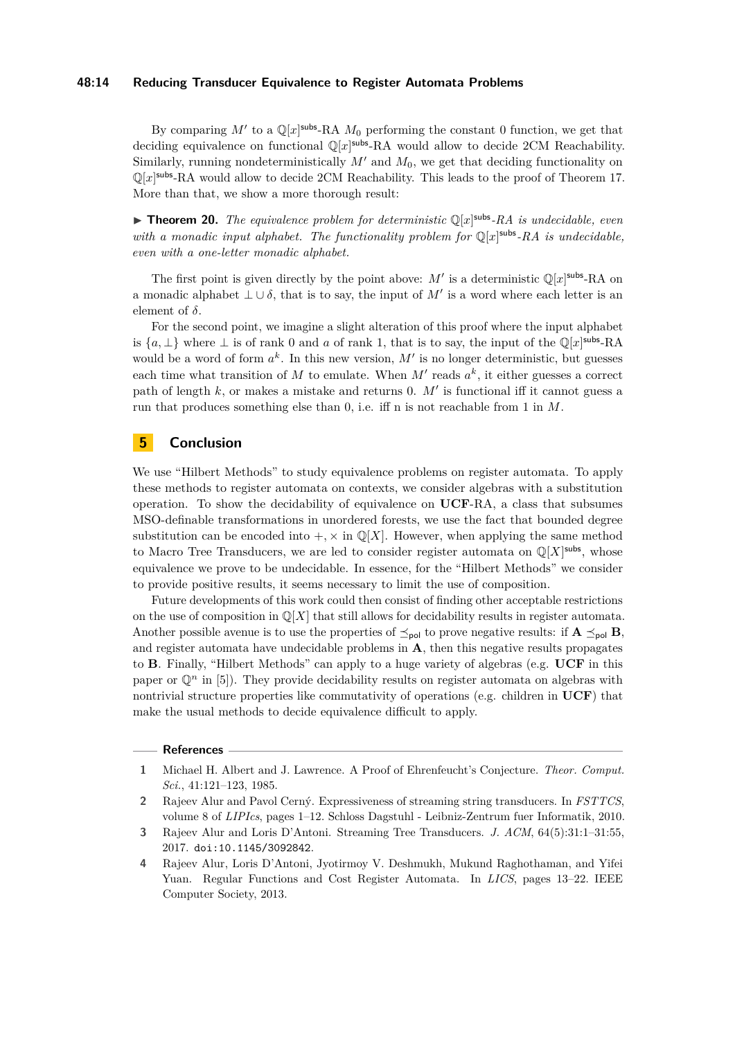## **48:14 Reducing Transducer Equivalence to Register Automata Problems**

By comparing  $M'$  to a  $\mathbb{Q}[x]$ <sup>subs</sup>-RA  $M_0$  performing the constant 0 function, we get that deciding equivalence on functional  $\mathbb{Q}[x]$ <sup>subs</sup>-RA would allow to decide 2CM Reachability. Similarly, running nondeterministically  $M'$  and  $M_0$ , we get that deciding functionality on  $\mathbb{Q}[x]$ <sup>subs</sup>-RA would allow to decide 2CM Reachability. This leads to the proof of Theorem [17.](#page-11-1) More than that, we show a more thorough result:

<span id="page-13-4"></span>**Theorem 20.** The equivalence problem for deterministic  $\mathbb{Q}[x]$ <sup>subs</sup>-RA is undecidable, even with a monadic input alphabet. The functionality problem for  $\mathbb{Q}[x]$ <sup>subs</sup>-RA is undecidable, *even with a one-letter monadic alphabet.*

The first point is given directly by the point above:  $M'$  is a deterministic  $\mathbb{Q}[x]$ <sup>subs</sup>-RA on a monadic alphabet  $\perp \cup \delta$ , that is to say, the input of M' is a word where each letter is an element of *δ*.

For the second point, we imagine a slight alteration of this proof where the input alphabet is  $\{a, \perp\}$  where  $\perp$  is of rank 0 and *a* of rank 1, that is to say, the input of the  $\mathbb{Q}[x]$ <sup>subs</sup>-RA would be a word of form  $a^k$ . In this new version,  $M'$  is no longer deterministic, but guesses each time what transition of  $M$  to emulate. When  $M'$  reads  $a^k$ , it either guesses a correct path of length  $k$ , or makes a mistake and returns 0.  $M'$  is functional iff it cannot guess a run that produces something else than 0, i.e. iff n is not reachable from 1 in *M*.

## **5 Conclusion**

We use "Hilbert Methods" to study equivalence problems on register automata. To apply these methods to register automata on contexts, we consider algebras with a substitution operation. To show the decidability of equivalence on **UCF**-RA, a class that subsumes MSO-definable transformations in unordered forests, we use the fact that bounded degree substitution can be encoded into  $+$ ,  $\times$  in  $\mathbb{Q}[X]$ . However, when applying the same method to Macro Tree Transducers, we are led to consider register automata on  $\mathbb{Q}[X]$ <sup>subs</sup>, whose equivalence we prove to be undecidable. In essence, for the "Hilbert Methods" we consider to provide positive results, it seems necessary to limit the use of composition.

Future developments of this work could then consist of finding other acceptable restrictions on the use of composition in  $\mathbb{Q}[X]$  that still allows for decidability results in register automata. Another possible avenue is to use the properties of  $\leq_{\text{pol}}$  to prove negative results: if  $\mathbf{A} \leq_{\text{pol}} \mathbf{B}$ , and register automata have undecidable problems in **A**, then this negative results propagates to **B**. Finally, "Hilbert Methods" can apply to a huge variety of algebras (e.g. **UCF** in this paper or  $\mathbb{Q}^n$  in [\[5\]](#page-14-7)). They provide decidability results on register automata on algebras with nontrivial structure properties like commutativity of operations (e.g. children in **UCF**) that make the usual methods to decide equivalence difficult to apply.

#### **References**

<span id="page-13-3"></span>**<sup>1</sup>** Michael H. Albert and J. Lawrence. A Proof of Ehrenfeucht's Conjecture. *Theor. Comput. Sci.*, 41:121–123, 1985.

<span id="page-13-0"></span>**<sup>2</sup>** Rajeev Alur and Pavol Cerný. Expressiveness of streaming string transducers. In *FSTTCS*, volume 8 of *LIPIcs*, pages 1–12. Schloss Dagstuhl - Leibniz-Zentrum fuer Informatik, 2010.

<span id="page-13-1"></span>**<sup>3</sup>** Rajeev Alur and Loris D'Antoni. Streaming Tree Transducers. *J. ACM*, 64(5):31:1–31:55, 2017. [doi:10.1145/3092842](http://dx.doi.org/10.1145/3092842).

<span id="page-13-2"></span>**<sup>4</sup>** Rajeev Alur, Loris D'Antoni, Jyotirmoy V. Deshmukh, Mukund Raghothaman, and Yifei Yuan. Regular Functions and Cost Register Automata. In *LICS*, pages 13–22. IEEE Computer Society, 2013.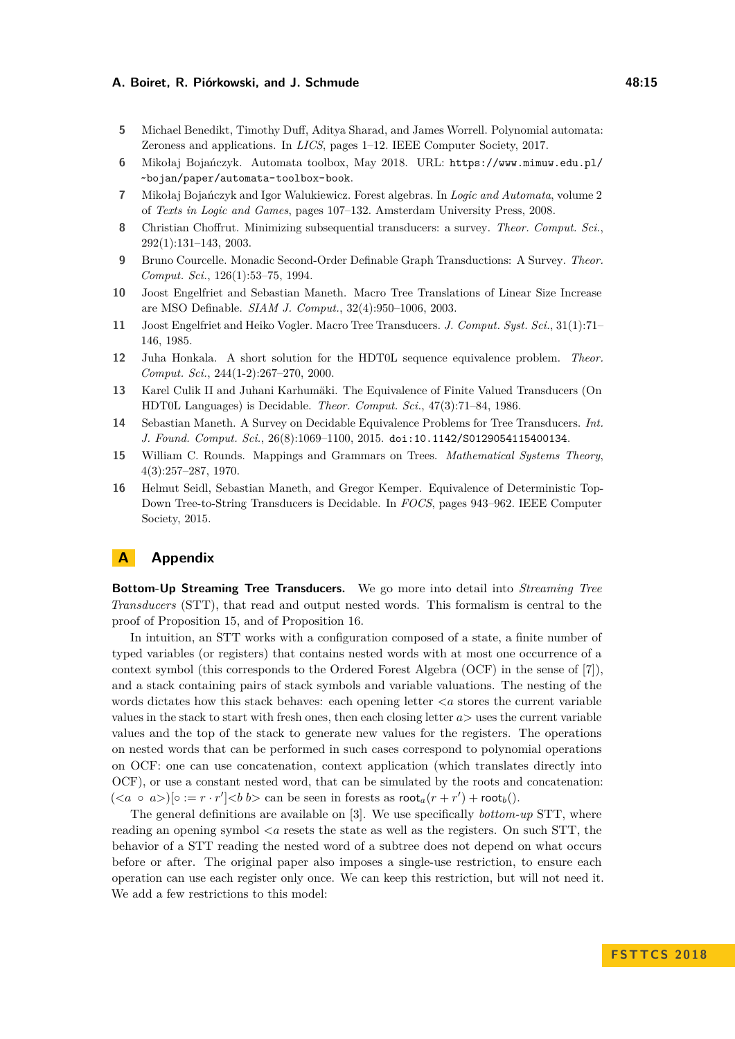- <span id="page-14-7"></span>**5** Michael Benedikt, Timothy Duff, Aditya Sharad, and James Worrell. Polynomial automata: Zeroness and applications. In *LICS*, pages 1–12. IEEE Computer Society, 2017.
- <span id="page-14-10"></span>**6** Mikołaj Bojańczyk. Automata toolbox, May 2018. URL: [https://www.mimuw.edu.pl/](https://www.mimuw.edu.pl/~bojan/paper/automata-toolbox-book) [~bojan/paper/automata-toolbox-book](https://www.mimuw.edu.pl/~bojan/paper/automata-toolbox-book).
- <span id="page-14-11"></span>**7** Mikołaj Bojańczyk and Igor Walukiewicz. Forest algebras. In *Logic and Automata*, volume 2 of *Texts in Logic and Games*, pages 107–132. Amsterdam University Press, 2008.
- <span id="page-14-1"></span>**8** Christian Choffrut. Minimizing subsequential transducers: a survey. *Theor. Comput. Sci.*, 292(1):131–143, 2003.
- <span id="page-14-3"></span>**9** Bruno Courcelle. Monadic Second-Order Definable Graph Transductions: A Survey. *Theor. Comput. Sci.*, 126(1):53–75, 1994.
- <span id="page-14-5"></span>**10** Joost Engelfriet and Sebastian Maneth. Macro Tree Translations of Linear Size Increase are MSO Definable. *SIAM J. Comput.*, 32(4):950–1006, 2003.
- <span id="page-14-4"></span>**11** Joost Engelfriet and Heiko Vogler. Macro Tree Transducers. *J. Comput. Syst. Sci.*, 31(1):71– 146, 1985.
- <span id="page-14-9"></span>**12** Juha Honkala. A short solution for the HDT0L sequence equivalence problem. *Theor. Comput. Sci.*, 244(1-2):267–270, 2000.
- <span id="page-14-8"></span>**13** Karel Culik II and Juhani Karhumäki. The Equivalence of Finite Valued Transducers (On HDT0L Languages) is Decidable. *Theor. Comput. Sci.*, 47(3):71–84, 1986.
- <span id="page-14-2"></span>**14** Sebastian Maneth. A Survey on Decidable Equivalence Problems for Tree Transducers. *Int. J. Found. Comput. Sci.*, 26(8):1069–1100, 2015. [doi:10.1142/S0129054115400134](http://dx.doi.org/10.1142/S0129054115400134).
- <span id="page-14-0"></span>**15** William C. Rounds. Mappings and Grammars on Trees. *Mathematical Systems Theory*, 4(3):257–287, 1970.
- <span id="page-14-6"></span>**16** Helmut Seidl, Sebastian Maneth, and Gregor Kemper. Equivalence of Deterministic Top-Down Tree-to-String Transducers is Decidable. In *FOCS*, pages 943–962. IEEE Computer Society, 2015.

# **A Appendix**

**Bottom-Up Streaming Tree Transducers.** We go more into detail into *Streaming Tree Transducers* (STT), that read and output nested words. This formalism is central to the proof of Proposition [15,](#page-10-0) and of Proposition [16.](#page-10-1)

In intuition, an STT works with a configuration composed of a state, a finite number of typed variables (or registers) that contains nested words with at most one occurrence of a context symbol (this corresponds to the Ordered Forest Algebra (OCF) in the sense of [\[7\]](#page-14-11)), and a stack containing pairs of stack symbols and variable valuations. The nesting of the words dictates how this stack behaves: each opening letter  $\langle a \rangle$  stores the current variable values in the stack to start with fresh ones, then each closing letter *a>* uses the current variable values and the top of the stack to generate new values for the registers. The operations on nested words that can be performed in such cases correspond to polynomial operations on OCF: one can use concatenation, context application (which translates directly into OCF), or use a constant nested word, that can be simulated by the roots and concatenation:  $(*a* \circ *a*)$   $[ \circ := r \cdot r' ] < *b*$   $\infty$  can be seen in forests as  $\text{root}_{a}(r + r') + \text{root}_{b}( )$ .

The general definitions are available on [\[3\]](#page-13-1). We use specifically *bottom-up* STT, where reading an opening symbol *<a* resets the state as well as the registers. On such STT, the behavior of a STT reading the nested word of a subtree does not depend on what occurs before or after. The original paper also imposes a single-use restriction, to ensure each operation can use each register only once. We can keep this restriction, but will not need it. We add a few restrictions to this model: